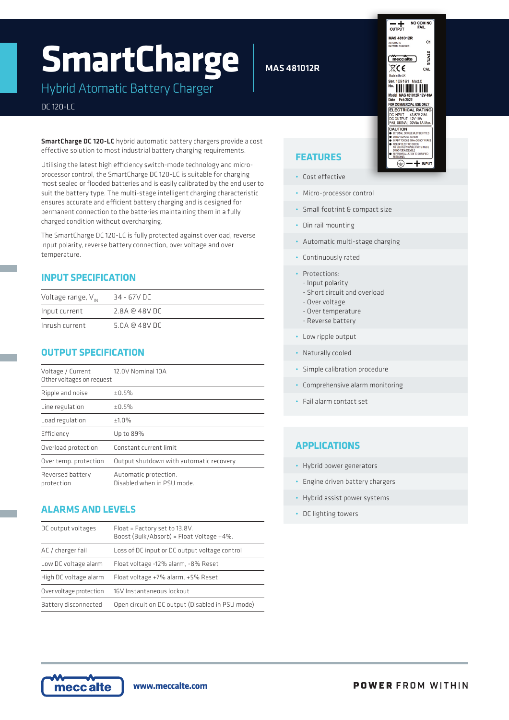# **SmartCharge**

Hybrid Atomatic Battery Charger

#### DC 120-LC

SmartCharge DC 120-LC hybrid automatic battery chargers provide a cost effective solution to most industrial battery charging requirements.

Utilising the latest high efficiency switch-mode technology and microprocessor control, the SmartCharge DC 120-LC is suitable for charging most sealed or flooded batteries and is easily calibrated by the end user to suit the battery type. The multi-stage intelligent charging characteristic ensures accurate and efficient battery charging and is designed for permanent connection to the batteries maintaining them in a fully charged condition without overcharging.

The SmartCharge DC 120-LC is fully protected against overload, reverse input polarity, reverse battery connection, over voltage and over temperature.

#### **INPUT SPECIFICATION**

| Voltage range, $V_{\text{IN}}$ | 34 - 67V DC    |
|--------------------------------|----------------|
| Input current                  | 2.8A @ 48V DC  |
| Inrush current                 | 5.0A @ 48V D C |

#### **OUTPUT SPECIFICATION**

| Voltage / Current<br>Other voltages on request | 12.0V Nominal 10A                                   |  |
|------------------------------------------------|-----------------------------------------------------|--|
| Ripple and noise                               | ±0.5%                                               |  |
| Line regulation                                | ±0.5%                                               |  |
| Load regulation                                | ±1.0%                                               |  |
| Efficiency                                     | Up to 89%                                           |  |
| Overload protection                            | Constant current limit                              |  |
| Over temp. protection                          | Output shutdown with automatic recovery             |  |
| Reversed battery<br>protection                 | Automatic protection.<br>Disabled when in PSU mode. |  |

#### **ALARMS AND LEVELS**

| DC output voltages      | Float = Factory set to 13.8V.<br>Boost (Bulk/Absorb) = Float Voltage +4%. |  |
|-------------------------|---------------------------------------------------------------------------|--|
| AC / charger fail       | Loss of DC input or DC output voltage control                             |  |
| Low DC voltage alarm    | Float voltage -12% alarm, -8% Reset                                       |  |
| High DC voltage alarm   | Float voltage +7% alarm, +5% Reset                                        |  |
| Over voltage protection | 16V Instantaneous lockout                                                 |  |
| Battery disconnected    | Open circuit on DC output (Disabled in PSU mode)                          |  |

## MAS 481012R



## **FEATURES**

- Cost effective
- Micro-processor control
- Small footrint & compact size
- Din rail mounting
- Automatic multi-stage charging
- Continuously rated
- Protections:
	- Input polarity
	- Short circuit and overload - Over voltage
	- Over temperature
	- Reverse battery
- Low ripple output
- Naturally cooled
- Simple calibration procedure
- Comprehensive alarm monitoring
- Fail alarm contact set

#### **APPLICATIONS**

- Hybrid power generators
- Engine driven battery chargers
- Hybrid assist power systems
- DC lighting towers



**www.meccalte.com**

**POWER FROM WITHIN**